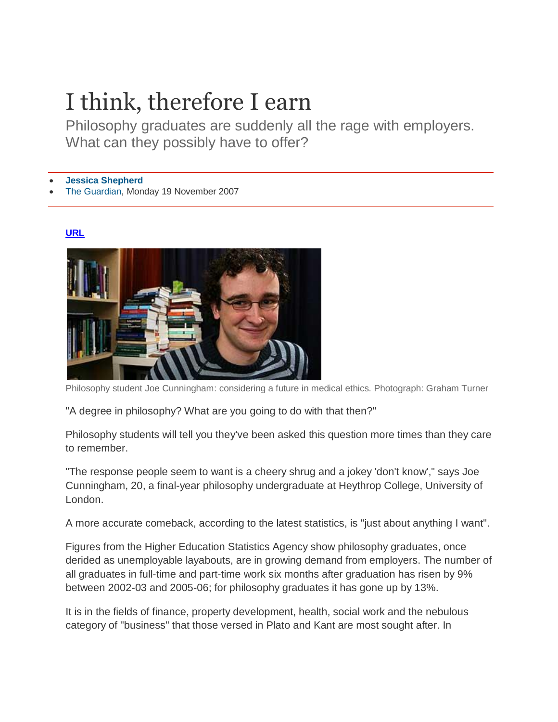## I think, therefore I earn

Philosophy graduates are suddenly all the rage with employers. What can they possibly have to offer?

**[Jessica Shepherd](http://www.guardian.co.uk/profile/jessicashepherd)**

[The Guardian,](http://www.guardian.co.uk/theguardian) Monday 19 November 2007

## **[URL](http://www.guardian.co.uk/education/2007/nov/20/choosingadegree.highereducation)**



Philosophy student Joe Cunningham: considering a future in medical ethics. Photograph: Graham Turner

"A degree in philosophy? What are you going to do with that then?"

Philosophy students will tell you they've been asked this question more times than they care to remember.

"The response people seem to want is a cheery shrug and a jokey 'don't know'," says Joe Cunningham, 20, a final-year philosophy undergraduate at Heythrop College, University of London.

A more accurate comeback, according to the latest statistics, is "just about anything I want".

Figures from the Higher Education Statistics Agency show philosophy graduates, once derided as unemployable layabouts, are in growing demand from employers. The number of all graduates in full-time and part-time work six months after graduation has risen by 9% between 2002-03 and 2005-06; for philosophy graduates it has gone up by 13%.

It is in the fields of finance, property development, health, social work and the nebulous category of "business" that those versed in Plato and Kant are most sought after. In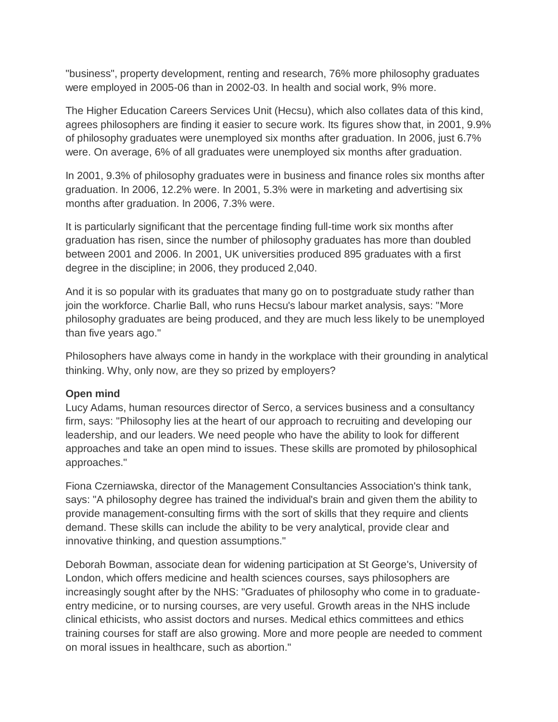"business", property development, renting and research, 76% more philosophy graduates were employed in 2005-06 than in 2002-03. In health and social work, 9% more.

The Higher Education Careers Services Unit (Hecsu), which also collates data of this kind, agrees philosophers are finding it easier to secure work. Its figures show that, in 2001, 9.9% of philosophy graduates were unemployed six months after graduation. In 2006, just 6.7% were. On average, 6% of all graduates were unemployed six months after graduation.

In 2001, 9.3% of philosophy graduates were in business and finance roles six months after graduation. In 2006, 12.2% were. In 2001, 5.3% were in marketing and advertising six months after graduation. In 2006, 7.3% were.

It is particularly significant that the percentage finding full-time work six months after graduation has risen, since the number of philosophy graduates has more than doubled between 2001 and 2006. In 2001, UK universities produced 895 graduates with a first degree in the discipline; in 2006, they produced 2,040.

And it is so popular with its graduates that many go on to postgraduate study rather than join the workforce. Charlie Ball, who runs Hecsu's labour market analysis, says: "More philosophy graduates are being produced, and they are much less likely to be unemployed than five years ago."

Philosophers have always come in handy in the workplace with their grounding in analytical thinking. Why, only now, are they so prized by employers?

## **Open mind**

Lucy Adams, human resources director of Serco, a services business and a consultancy firm, says: "Philosophy lies at the heart of our approach to recruiting and developing our leadership, and our leaders. We need people who have the ability to look for different approaches and take an open mind to issues. These skills are promoted by philosophical approaches."

Fiona Czerniawska, director of the Management Consultancies Association's think tank, says: "A philosophy degree has trained the individual's brain and given them the ability to provide management-consulting firms with the sort of skills that they require and clients demand. These skills can include the ability to be very analytical, provide clear and innovative thinking, and question assumptions."

Deborah Bowman, associate dean for widening participation at St George's, University of London, which offers medicine and health sciences courses, says philosophers are increasingly sought after by the NHS: "Graduates of philosophy who come in to graduateentry medicine, or to nursing courses, are very useful. Growth areas in the NHS include clinical ethicists, who assist doctors and nurses. Medical ethics committees and ethics training courses for staff are also growing. More and more people are needed to comment on moral issues in healthcare, such as abortion."